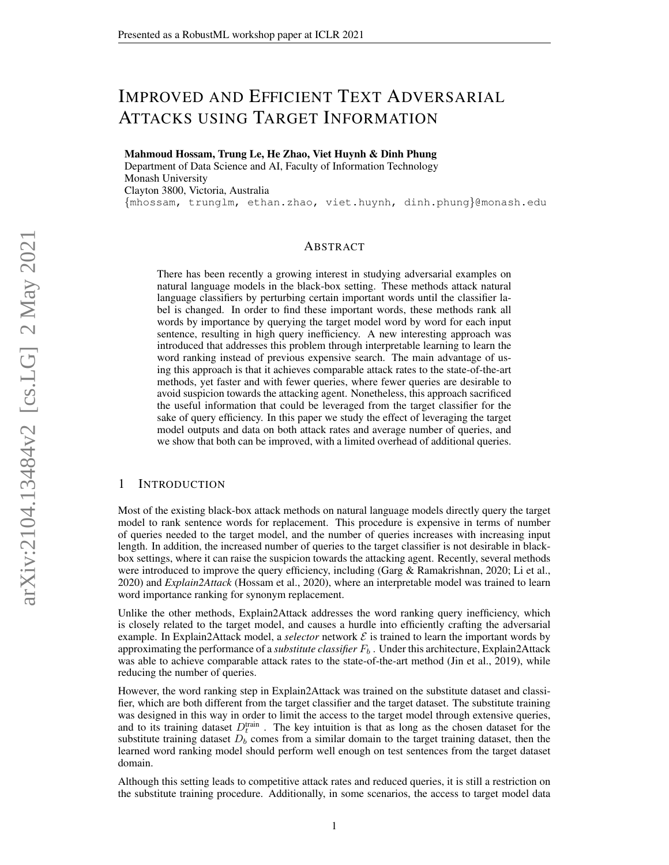# IMPROVED AND EFFICIENT TEXT ADVERSARIAL ATTACKS USING TARGET INFORMATION

Mahmoud Hossam, Trung Le, He Zhao, Viet Huynh & Dinh Phung Department of Data Science and AI, Faculty of Information Technology Monash University Clayton 3800, Victoria, Australia {mhossam, trunglm, ethan.zhao, viet.huynh, dinh.phung}@monash.edu

## ABSTRACT

There has been recently a growing interest in studying adversarial examples on natural language models in the black-box setting. These methods attack natural language classifiers by perturbing certain important words until the classifier label is changed. In order to find these important words, these methods rank all words by importance by querying the target model word by word for each input sentence, resulting in high query inefficiency. A new interesting approach was introduced that addresses this problem through interpretable learning to learn the word ranking instead of previous expensive search. The main advantage of using this approach is that it achieves comparable attack rates to the state-of-the-art methods, yet faster and with fewer queries, where fewer queries are desirable to avoid suspicion towards the attacking agent. Nonetheless, this approach sacrificed the useful information that could be leveraged from the target classifier for the sake of query efficiency. In this paper we study the effect of leveraging the target model outputs and data on both attack rates and average number of queries, and we show that both can be improved, with a limited overhead of additional queries.

## <span id="page-0-0"></span>1 INTRODUCTION

Most of the existing black-box attack methods on natural language models directly query the target model to rank sentence words for replacement. This procedure is expensive in terms of number of queries needed to the target model, and the number of queries increases with increasing input length. In addition, the increased number of queries to the target classifier is not desirable in blackbox settings, where it can raise the suspicion towards the attacking agent. Recently, several methods were introduced to improve the query efficiency, including [\(Garg & Ramakrishnan, 2020;](#page-4-0) [Li et al.,](#page-4-1) [2020\)](#page-4-1) and *Explain2Attack* [\(Hossam et al., 2020\)](#page-4-2), where an interpretable model was trained to learn word importance ranking for synonym replacement.

Unlike the other methods, Explain2Attack addresses the word ranking query inefficiency, which is closely related to the target model, and causes a hurdle into efficiently crafting the adversarial example. In Explain2Attack model, a *selector* network  $\mathcal E$  is trained to learn the important words by approximating the performance of a *substitute classifier*  $F_b$ . Under this architecture, Explain2Attack was able to achieve comparable attack rates to the state-of-the-art method [\(Jin et al., 2019\)](#page-4-3), while reducing the number of queries.

However, the word ranking step in Explain2Attack was trained on the substitute dataset and classifier, which are both different from the target classifier and the target dataset. The substitute training was designed in this way in order to limit the access to the target model through extensive queries, and to its training dataset  $D_t^{\text{train}}$ . The key intuition is that as long as the chosen dataset for the substitute training dataset  $D<sub>b</sub>$  comes from a similar domain to the target training dataset, then the learned word ranking model should perform well enough on test sentences from the target dataset domain.

Although this setting leads to competitive attack rates and reduced queries, it is still a restriction on the substitute training procedure. Additionally, in some scenarios, the access to target model data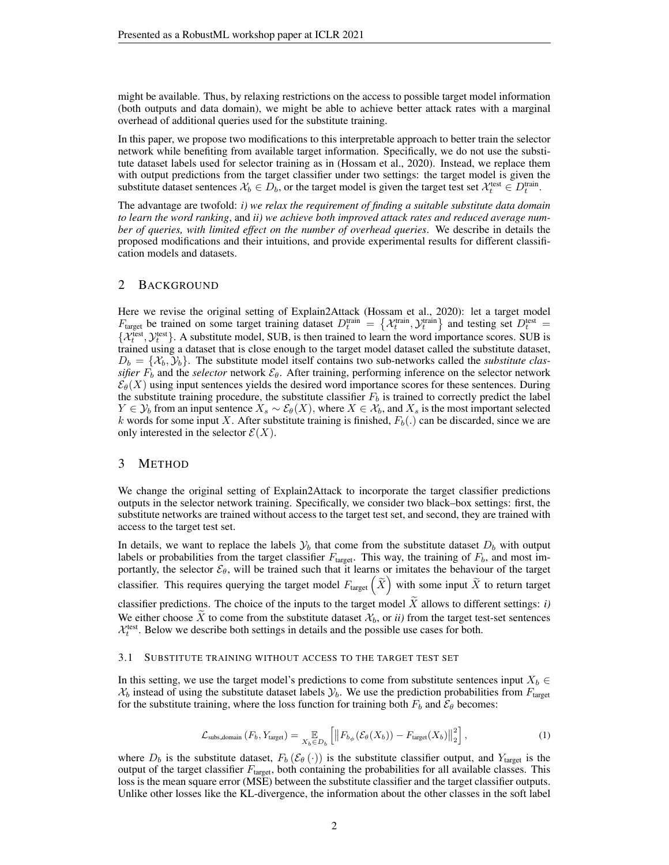might be available. Thus, by relaxing restrictions on the access to possible target model information (both outputs and data domain), we might be able to achieve better attack rates with a marginal overhead of additional queries used for the substitute training.

In this paper, we propose two modifications to this interpretable approach to better train the selector network while benefiting from available target information. Specifically, we do not use the substitute dataset labels used for selector training as in [\(Hossam et al., 2020\)](#page-4-2). Instead, we replace them with output predictions from the target classifier under two settings: the target model is given the substitute dataset sentences  $\mathcal{X}_b \in D_b$ , or the target model is given the target test set  $\mathcal{X}_t^{\text{test}} \in D_t^{\text{train}}$ .

The advantage are twofold: *i) we relax the requirement of finding a suitable substitute data domain to learn the word ranking*, and *ii) we achieve both improved attack rates and reduced average number of queries, with limited effect on the number of overhead queries*. We describe in details the proposed modifications and their intuitions, and provide experimental results for different classification models and datasets.

# <span id="page-1-1"></span>2 BACKGROUND

Here we revise the original setting of Explain2Attack [\(Hossam et al., 2020\)](#page-4-2): let a target model  $F_{\text{target}}$  be trained on some target training dataset  $D_t^{\text{train}} = \{ \mathcal{X}_t^{\text{train}}, \mathcal{Y}_t^{\text{train}} \}$  and testing set  $D_t^{\text{test}} =$  $\{\mathcal{X}_t^{\text{test}}, \mathcal{Y}_t^{\text{test}}\}$ . A substitute model, SUB, is then trained to learn the word importance scores. SUB is trained using a dataset that is close enough to the target model dataset called the substitute dataset,  $D_b = \{\mathcal{X}_b, \mathcal{Y}_b\}$ . The substitute model itself contains two sub-networks called the *substitute classifier*  $F_b$  and the *selector* network  $\mathcal{E}_{\theta}$ . After training, performing inference on the selector network  $\mathcal{E}_{\theta}(X)$  using input sentences yields the desired word importance scores for these sentences. During the substitute training procedure, the substitute classifier  $F<sub>b</sub>$  is trained to correctly predict the label  $Y \in \mathcal{Y}_b$  from an input sentence  $X_s \sim \mathcal{E}_{\theta}(X)$ , where  $X \in \mathcal{X}_b$ , and  $X_s$  is the most important selected k words for some input X. After substitute training is finished,  $F_b(.)$  can be discarded, since we are only interested in the selector  $\mathcal{E}(X)$ .

# 3 METHOD

We change the original setting of Explain2Attack to incorporate the target classifier predictions outputs in the selector network training. Specifically, we consider two black–box settings: first, the substitute networks are trained without access to the target test set, and second, they are trained with access to the target test set.

In details, we want to replace the labels  $\mathcal{Y}_b$  that come from the substitute dataset  $D_b$  with output labels or probabilities from the target classifier  $F_{\text{target}}$ . This way, the training of  $F_b$ , and most importantly, the selector  $\mathcal{E}_{\theta}$ , will be trained such that it learns or imitates the behaviour of the target classifier. This requires querying the target model  $F_{\text{target}}\left(\widetilde{X}\right)$  with some input  $\widetilde{X}$  to return target classifier predictions. The choice of the inputs to the target model  $X$  allows to different settings: *i*) We either choose  $\tilde{X}$  to come from the substitute dataset  $\mathcal{X}_b$ , or *ii*) from the target test-set sentences  $\mathcal{X}_t^{\text{test}}$ . Below we describe both settings in details and the possible use cases for both.

#### 3.1 SUBSTITUTE TRAINING WITHOUT ACCESS TO THE TARGET TEST SET

In this setting, we use the target model's predictions to come from substitute sentences input  $X_b \in$  $X_b$  instead of using the substitute dataset labels  $\mathcal{Y}_b$ . We use the prediction probabilities from  $F_{\text{target}}$ for the substitute training, where the loss function for training both  $F_b$  and  $\mathcal{E}_{\theta}$  becomes:

<span id="page-1-0"></span>
$$
\mathcal{L}_{\text{subs.domain}}\left(F_b, Y_{\text{target}}\right) = \mathop{\mathbb{E}}_{X_b \in D_b} \left[ \left\| F_{b_{\phi}}(\mathcal{E}_{\theta}(X_b)) - F_{\text{target}}(X_b) \right\|_2^2 \right],\tag{1}
$$

where  $D_b$  is the substitute dataset,  $F_b$  ( $\mathcal{E}_{\theta}$  (·)) is the substitute classifier output, and  $Y_{\text{target}}$  is the output of the target classifier  $F_{\text{target}}$ , both containing the probabilities for all available classes. This loss is the mean square error (MSE) between the substitute classifier and the target classifier outputs. Unlike other losses like the KL-divergence, the information about the other classes in the soft label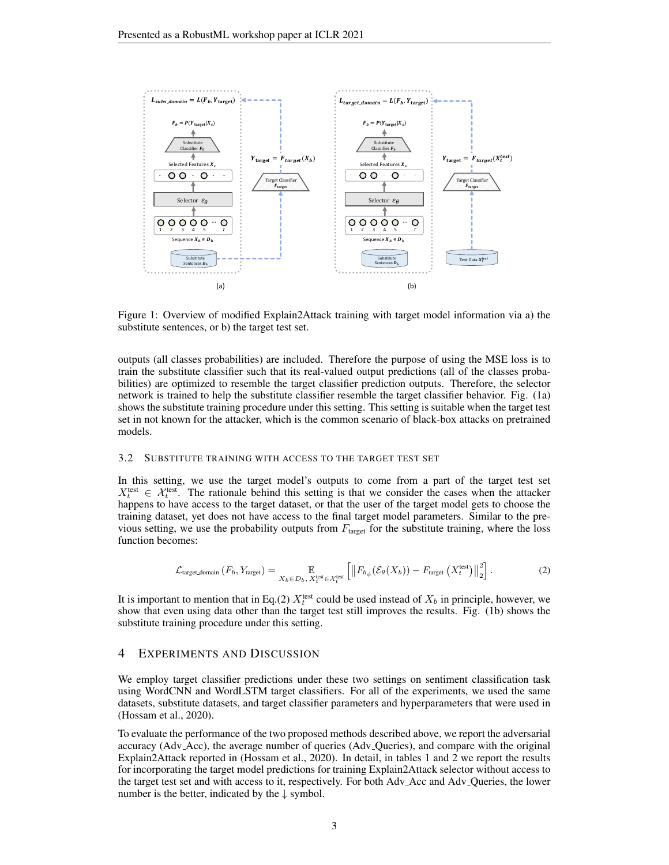

<span id="page-2-0"></span>Figure 1: Overview of modified Explain2Attack training with target model information via a) the substitute sentences, or b) the target test set.

outputs (all classes probabilities) are included. Therefore the purpose of using the MSE loss is to train the substitute classifier such that its real-valued output predictions (all of the classes probabilities) are optimized to resemble the target classifier prediction outputs. Therefore, the selector network is trained to help the substitute classifier resemble the target classifier behavior. Fig. [\(1a](#page-2-0)) shows the substitute training procedure under this setting. This setting is suitable when the target test set in not known for the attacker, which is the common scenario of black-box attacks on pretrained models.

#### 3.2 SUBSTITUTE TRAINING WITH ACCESS TO THE TARGET TEST SET

In this setting, we use the target model's outputs to come from a part of the target test set  $X_t^{\text{test}} \in \mathcal{X}_t^{\text{test}}$ . The rationale behind this setting is that we consider the cases when the attacker happens to have access to the target dataset, or that the user of the target model gets to choose the training dataset, yet does not have access to the final target model parameters. Similar to the previous setting, we use the probability outputs from  $F_{\text{target}}$  for the substitute training, where the loss function becomes:

<span id="page-2-1"></span>
$$
\mathcal{L}_{\text{target.domain}}\left(F_b, Y_{\text{target}}\right) = \mathop{\mathbb{E}}_{X_b \in D_b, X_t^{\text{test}} \in \mathcal{X}_t^{\text{test}}} \left[ \left\| F_{b_{\phi}}(\mathcal{E}_{\theta}(X_b)) - F_{\text{target}}\left(X_t^{\text{test}}\right) \right\|_2^2 \right].
$$
 (2)

It is important to mention that in Eq.[\(2\)](#page-2-1)  $X_t^{\text{test}}$  could be used instead of  $X_b$  in principle, however, we show that even using data other than the target test still improves the results. Fig. [\(1b](#page-2-0)) shows the substitute training procedure under this setting.

## <span id="page-2-2"></span>4 EXPERIMENTS AND DISCUSSION

We employ target classifier predictions under these two settings on sentiment classification task using WordCNN and WordLSTM target classifiers. For all of the experiments, we used the same datasets, substitute datasets, and target classifier parameters and hyperparameters that were used in [\(Hossam et al., 2020\)](#page-4-2).

To evaluate the performance of the two proposed methods described above, we report the adversarial accuracy (Adv Acc), the average number of queries (Adv Queries), and compare with the original Explain2Attack reported in [\(Hossam et al., 2020\)](#page-4-2). In detail, in tables [1](#page-3-0) and [2](#page-3-1) we report the results for incorporating the target model predictions for training Explain2Attack selector without access to the target test set and with access to it, respectively. For both Adv Acc and Adv Queries, the lower number is the better, indicated by the  $\downarrow$  symbol.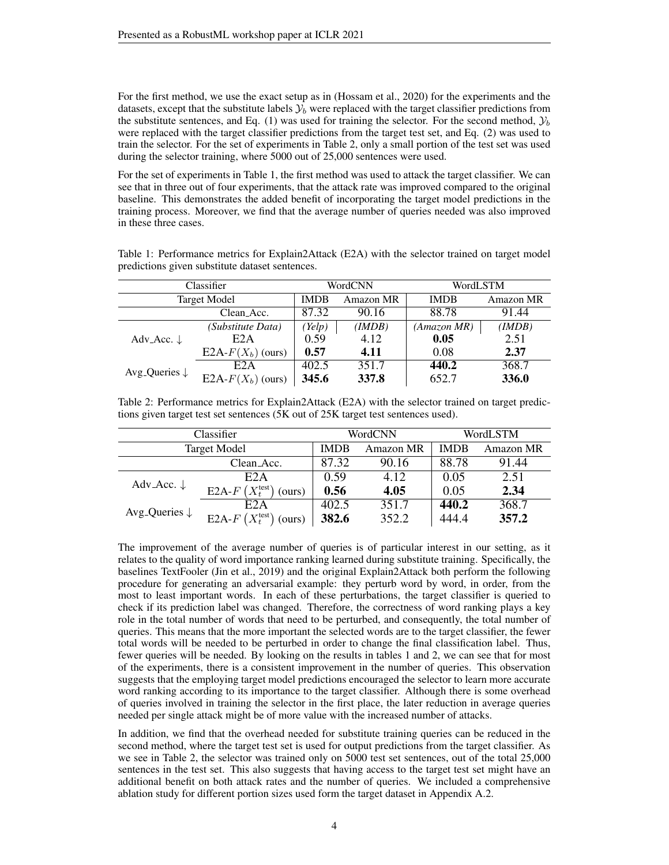For the first method, we use the exact setup as in [\(Hossam et al., 2020\)](#page-4-2) for the experiments and the datasets, except that the substitute labels  $\mathcal{Y}_b$  were replaced with the target classifier predictions from the substitute sentences, and Eq. [\(1\)](#page-1-0) was used for training the selector. For the second method,  $\mathcal{Y}_b$ were replaced with the target classifier predictions from the target test set, and Eq. [\(2\)](#page-2-1) was used to train the selector. For the set of experiments in Table [2,](#page-3-1) only a small portion of the test set was used during the selector training, where 5000 out of 25,000 sentences were used.

For the set of experiments in Table [1,](#page-3-0) the first method was used to attack the target classifier. We can see that in three out of four experiments, that the attack rate was improved compared to the original baseline. This demonstrates the added benefit of incorporating the target model predictions in the training process. Moreover, we find that the average number of queries needed was also improved in these three cases.

<span id="page-3-0"></span>

| Table 1: Performance metrics for Explain2Attack (E2A) with the selector trained on target model |  |
|-------------------------------------------------------------------------------------------------|--|
| predictions given substitute dataset sentences.                                                 |  |

|                                      | Classifier           | WordCNN     |           | WordLSTM    |           |
|--------------------------------------|----------------------|-------------|-----------|-------------|-----------|
| <b>Target Model</b>                  |                      | <b>IMDB</b> | Amazon MR | <b>IMDB</b> | Amazon MR |
| Clean Acc.                           |                      | 87.32       | 90.16     | 88.78       | 91.44     |
| Adv_Acc. $\downarrow$                | (Substitute Data)    | Yelp)       | (IMDB)    | (AmazonMR)  | (IMDB)    |
|                                      | E <sub>2</sub> A     | 0.59        | 4.12      | 0.05        | 2.51      |
|                                      | E2A- $F(X_b)$ (ours) | 0.57        | 4.11      | 0.08        | 2.37      |
| Avg <sub>-Queries</sub> $\downarrow$ | E <sub>2</sub> A     | 402.5       | 351.7     | 440.2       | 368.7     |
|                                      | E2A- $F(X_b)$ (ours) | 345.6       | 337.8     | 652.7       | 336.0     |

<span id="page-3-1"></span>Table 2: Performance metrics for Explain2Attack (E2A) with the selector trained on target predictions given target test set sentences (5K out of 25K target test sentences used).

| Classifier                           |                                       |             | WordCNN   | WordLSTM    |                  |
|--------------------------------------|---------------------------------------|-------------|-----------|-------------|------------------|
| <b>Target Model</b>                  |                                       | <b>IMDB</b> | Amazon MR | <b>IMDB</b> | <b>Amazon MR</b> |
|                                      | Clean <sub>-Acc</sub> .               | 87.32       | 90.16     | 88.78       | 91.44            |
| Adv_Acc. $\downarrow$                | E <sub>2</sub> A                      | 0.59        | 4.12      | 0.05        | 2.51             |
|                                      | E2A- $F(X_t^{\text{test}})$<br>(ours) | 0.56        | 4.05      | 0.05        | 2.34             |
| Avg <sub>-Queries</sub> $\downarrow$ | E2A                                   | 402.5       | 351.7     | 440.2       | 368.7            |
|                                      | E2A- $F(X_t^{\text{test}})$<br>(ours) | 382.6       | 352.2     | 444.4       | 357.2            |

The improvement of the average number of queries is of particular interest in our setting, as it relates to the quality of word importance ranking learned during substitute training. Specifically, the baselines TextFooler [\(Jin et al., 2019\)](#page-4-3) and the original Explain2Attack both perform the following procedure for generating an adversarial example: they perturb word by word, in order, from the most to least important words. In each of these perturbations, the target classifier is queried to check if its prediction label was changed. Therefore, the correctness of word ranking plays a key role in the total number of words that need to be perturbed, and consequently, the total number of queries. This means that the more important the selected words are to the target classifier, the fewer total words will be needed to be perturbed in order to change the final classification label. Thus, fewer queries will be needed. By looking on the results in tables [1](#page-3-0) and [2,](#page-3-1) we can see that for most of the experiments, there is a consistent improvement in the number of queries. This observation suggests that the employing target model predictions encouraged the selector to learn more accurate word ranking according to its importance to the target classifier. Although there is some overhead of queries involved in training the selector in the first place, the later reduction in average queries needed per single attack might be of more value with the increased number of attacks.

In addition, we find that the overhead needed for substitute training queries can be reduced in the second method, where the target test set is used for output predictions from the target classifier. As we see in Table [2,](#page-3-1) the selector was trained only on 5000 test set sentences, out of the total 25,000 sentences in the test set. This also suggests that having access to the target test set might have an additional benefit on both attack rates and the number of queries. We included a comprehensive ablation study for different portion sizes used form the target dataset in Appendix [A.2.](#page-5-0)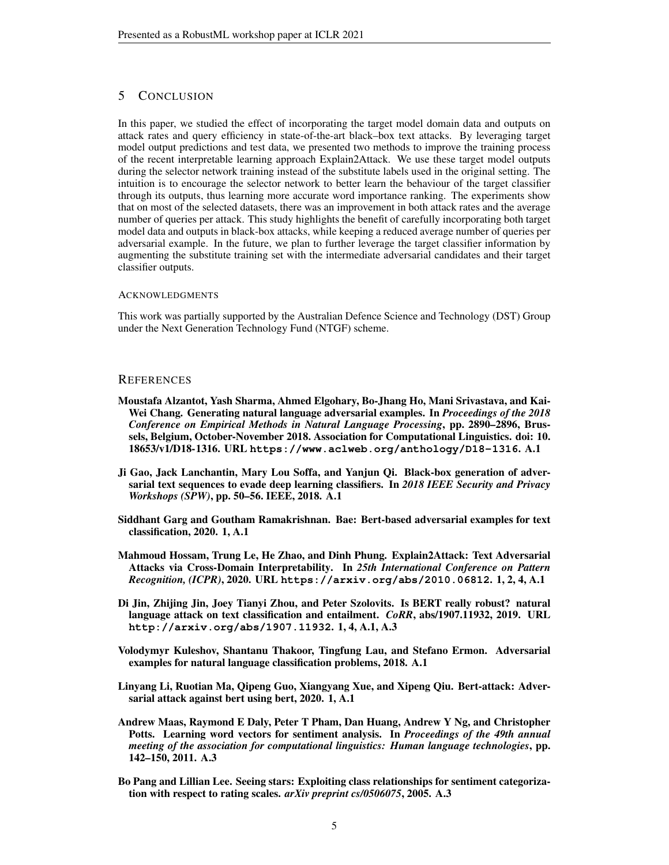# 5 CONCLUSION

In this paper, we studied the effect of incorporating the target model domain data and outputs on attack rates and query efficiency in state-of-the-art black–box text attacks. By leveraging target model output predictions and test data, we presented two methods to improve the training process of the recent interpretable learning approach Explain2Attack. We use these target model outputs during the selector network training instead of the substitute labels used in the original setting. The intuition is to encourage the selector network to better learn the behaviour of the target classifier through its outputs, thus learning more accurate word importance ranking. The experiments show that on most of the selected datasets, there was an improvement in both attack rates and the average number of queries per attack. This study highlights the benefit of carefully incorporating both target model data and outputs in black-box attacks, while keeping a reduced average number of queries per adversarial example. In the future, we plan to further leverage the target classifier information by augmenting the substitute training set with the intermediate adversarial candidates and their target classifier outputs.

## ACKNOWLEDGMENTS

This work was partially supported by the Australian Defence Science and Technology (DST) Group under the Next Generation Technology Fund (NTGF) scheme.

## **REFERENCES**

- <span id="page-4-6"></span>Moustafa Alzantot, Yash Sharma, Ahmed Elgohary, Bo-Jhang Ho, Mani Srivastava, and Kai-Wei Chang. Generating natural language adversarial examples. In *Proceedings of the 2018 Conference on Empirical Methods in Natural Language Processing*, pp. 2890–2896, Brussels, Belgium, October-November 2018. Association for Computational Linguistics. doi: 10. 18653/v1/D18-1316. URL **<https://www.aclweb.org/anthology/D18-1316>**. [A.1](#page-5-1)
- <span id="page-4-5"></span>Ji Gao, Jack Lanchantin, Mary Lou Soffa, and Yanjun Qi. Black-box generation of adversarial text sequences to evade deep learning classifiers. In *2018 IEEE Security and Privacy Workshops (SPW)*, pp. 50–56. IEEE, 2018. [A.1](#page-5-1)
- <span id="page-4-0"></span>Siddhant Garg and Goutham Ramakrishnan. Bae: Bert-based adversarial examples for text classification, 2020. [1,](#page-0-0) [A.1](#page-5-1)
- <span id="page-4-2"></span>Mahmoud Hossam, Trung Le, He Zhao, and Dinh Phung. Explain2Attack: Text Adversarial Attacks via Cross-Domain Interpretability. In *25th International Conference on Pattern Recognition, (ICPR)*, 2020. URL **<https://arxiv.org/abs/2010.06812>**. [1,](#page-0-0) [2,](#page-1-1) [4,](#page-2-2) [A.1](#page-5-1)
- <span id="page-4-3"></span>Di Jin, Zhijing Jin, Joey Tianyi Zhou, and Peter Szolovits. Is BERT really robust? natural language attack on text classification and entailment. *CoRR*, abs/1907.11932, 2019. URL **<http://arxiv.org/abs/1907.11932>**. [1,](#page-0-0) [4,](#page-3-1) [A.1,](#page-5-1) [A.3](#page-7-0)
- <span id="page-4-4"></span>Volodymyr Kuleshov, Shantanu Thakoor, Tingfung Lau, and Stefano Ermon. Adversarial examples for natural language classification problems, 2018. [A.1](#page-5-1)
- <span id="page-4-1"></span>Linyang Li, Ruotian Ma, Qipeng Guo, Xiangyang Xue, and Xipeng Qiu. Bert-attack: Adversarial attack against bert using bert, 2020. [1,](#page-0-0) [A.1](#page-5-1)
- <span id="page-4-7"></span>Andrew Maas, Raymond E Daly, Peter T Pham, Dan Huang, Andrew Y Ng, and Christopher Potts. Learning word vectors for sentiment analysis. In *Proceedings of the 49th annual meeting of the association for computational linguistics: Human language technologies*, pp. 142–150, 2011. [A.3](#page-7-0)
- <span id="page-4-8"></span>Bo Pang and Lillian Lee. Seeing stars: Exploiting class relationships for sentiment categorization with respect to rating scales. *arXiv preprint cs/0506075*, 2005. [A.3](#page-7-0)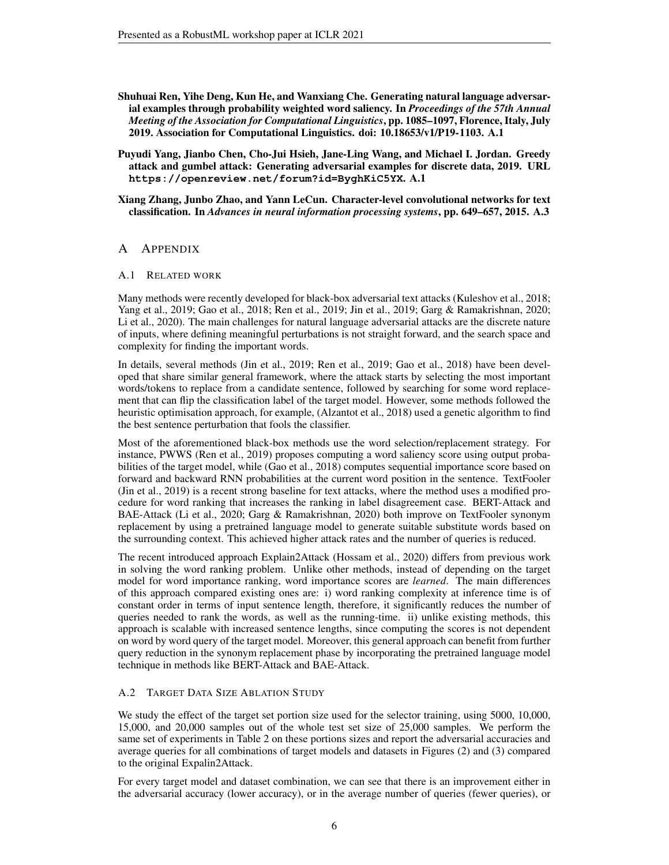- <span id="page-5-3"></span>Shuhuai Ren, Yihe Deng, Kun He, and Wanxiang Che. Generating natural language adversarial examples through probability weighted word saliency. In *Proceedings of the 57th Annual Meeting of the Association for Computational Linguistics*, pp. 1085–1097, Florence, Italy, July 2019. Association for Computational Linguistics. doi: 10.18653/v1/P19-1103. [A.1](#page-5-1)
- <span id="page-5-2"></span>Puyudi Yang, Jianbo Chen, Cho-Jui Hsieh, Jane-Ling Wang, and Michael I. Jordan. Greedy attack and gumbel attack: Generating adversarial examples for discrete data, 2019. URL **<https://openreview.net/forum?id=ByghKiC5YX>**. [A.1](#page-5-1)
- <span id="page-5-4"></span>Xiang Zhang, Junbo Zhao, and Yann LeCun. Character-level convolutional networks for text classification. In *Advances in neural information processing systems*, pp. 649–657, 2015. [A.3](#page-7-0)

# A APPENDIX

### <span id="page-5-1"></span>A.1 RELATED WORK

Many methods were recently developed for black-box adversarial text attacks [\(Kuleshov et al., 2018;](#page-4-4) [Yang et al., 2019;](#page-5-2) [Gao et al., 2018;](#page-4-5) [Ren et al., 2019;](#page-5-3) [Jin et al., 2019;](#page-4-3) [Garg & Ramakrishnan, 2020;](#page-4-0) [Li et al., 2020\)](#page-4-1). The main challenges for natural language adversarial attacks are the discrete nature of inputs, where defining meaningful perturbations is not straight forward, and the search space and complexity for finding the important words.

In details, several methods [\(Jin et al., 2019;](#page-4-3) [Ren et al., 2019;](#page-5-3) [Gao et al., 2018\)](#page-4-5) have been developed that share similar general framework, where the attack starts by selecting the most important words/tokens to replace from a candidate sentence, followed by searching for some word replacement that can flip the classification label of the target model. However, some methods followed the heuristic optimisation approach, for example, [\(Alzantot et al., 2018\)](#page-4-6) used a genetic algorithm to find the best sentence perturbation that fools the classifier.

Most of the aforementioned black-box methods use the word selection/replacement strategy. For instance, PWWS [\(Ren et al., 2019\)](#page-5-3) proposes computing a word saliency score using output probabilities of the target model, while [\(Gao et al., 2018\)](#page-4-5) computes sequential importance score based on forward and backward RNN probabilities at the current word position in the sentence. TextFooler [\(Jin et al., 2019\)](#page-4-3) is a recent strong baseline for text attacks, where the method uses a modified procedure for word ranking that increases the ranking in label disagreement case. BERT-Attack and BAE-Attack [\(Li et al., 2020;](#page-4-1) [Garg & Ramakrishnan, 2020\)](#page-4-0) both improve on TextFooler synonym replacement by using a pretrained language model to generate suitable substitute words based on the surrounding context. This achieved higher attack rates and the number of queries is reduced.

The recent introduced approach Explain2Attack [\(Hossam et al., 2020\)](#page-4-2) differs from previous work in solving the word ranking problem. Unlike other methods, instead of depending on the target model for word importance ranking, word importance scores are *learned*. The main differences of this approach compared existing ones are: i) word ranking complexity at inference time is of constant order in terms of input sentence length, therefore, it significantly reduces the number of queries needed to rank the words, as well as the running-time. ii) unlike existing methods, this approach is scalable with increased sentence lengths, since computing the scores is not dependent on word by word query of the target model. Moreover, this general approach can benefit from further query reduction in the synonym replacement phase by incorporating the pretrained language model technique in methods like BERT-Attack and BAE-Attack.

# <span id="page-5-0"></span>A.2 TARGET DATA SIZE ABLATION STUDY

We study the effect of the target set portion size used for the selector training, using 5000, 10,000, 15,000, and 20,000 samples out of the whole test set size of 25,000 samples. We perform the same set of experiments in Table [2](#page-3-1) on these portions sizes and report the adversarial accuracies and average queries for all combinations of target models and datasets in Figures [\(2\)](#page-6-0) and [\(3\)](#page-6-1) compared to the original Expalin2Attack.

For every target model and dataset combination, we can see that there is an improvement either in the adversarial accuracy (lower accuracy), or in the average number of queries (fewer queries), or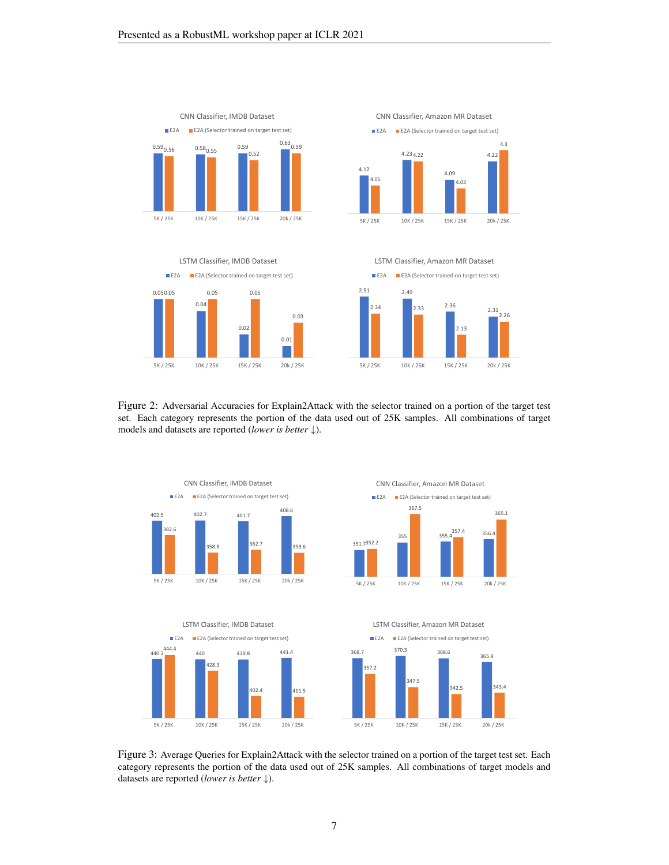





2.51 2.49 2.36 2.34 2.33  $2.33$  2.31 2.13 2.26 5K / 25K 10K / 25K 15K / 25K 20k / 25K LSTM Classifier, Amazon MR Dataset **E2A** E2A (Selector trained on target test set)

<span id="page-6-0"></span>Figure 2: Adversarial Accuracies for Explain2Attack with the selector trained on a portion of the target test set. Each category represents the portion of the data used out of 25K samples. All combinations of target models and datasets are reported (*lower is better* ↓).



<span id="page-6-1"></span>Figure 3: Average Queries for Explain2Attack with the selector trained on a portion of the target test set. Each category represents the portion of the data used out of 25K samples. All combinations of target models and datasets are reported (*lower is better* ↓).

7